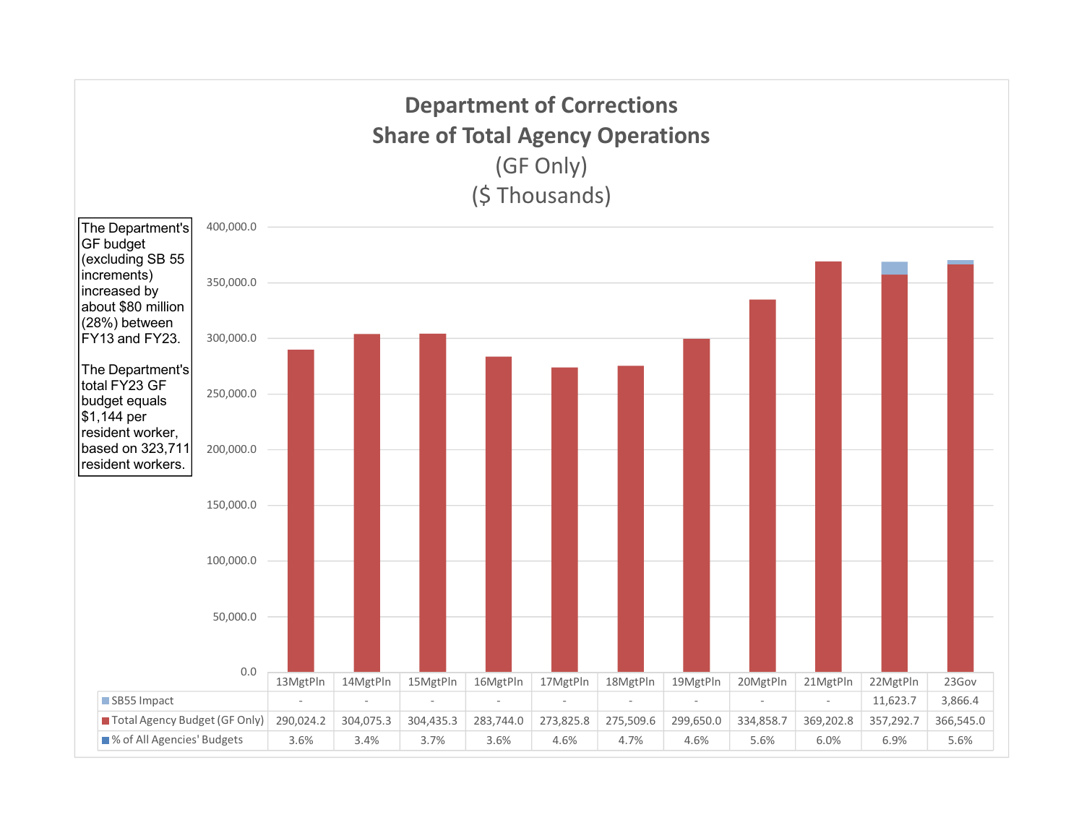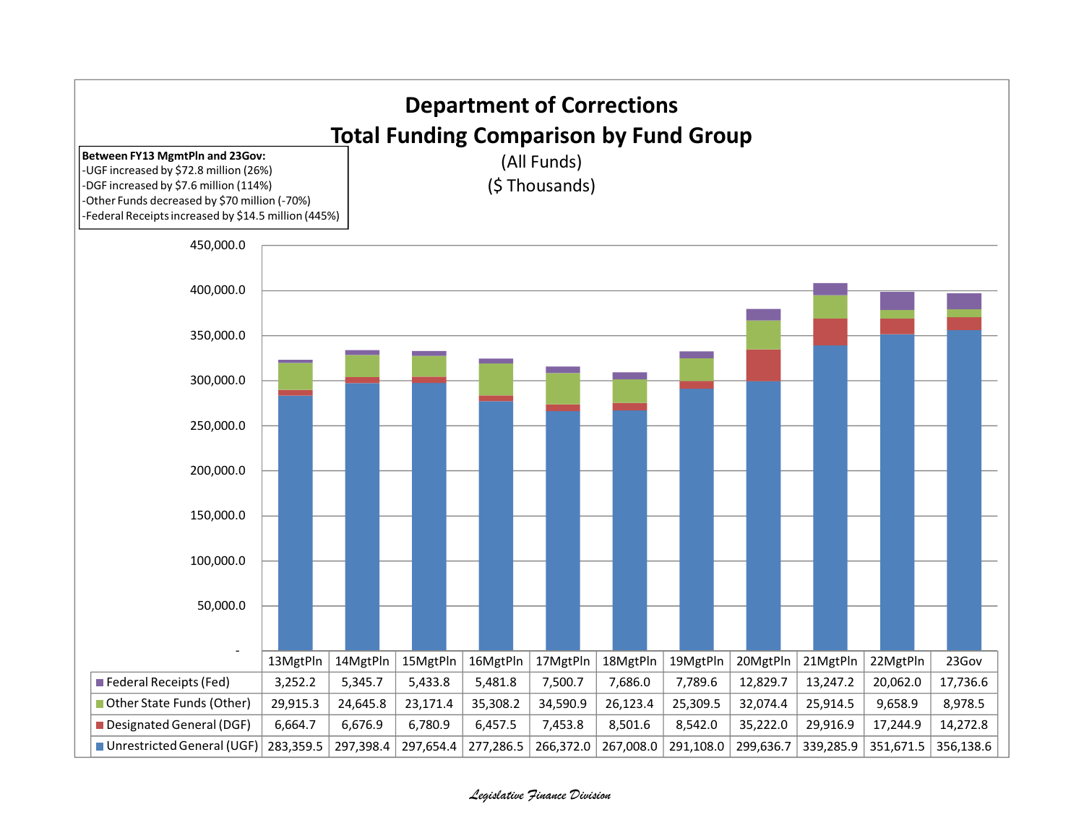

## Legislative Finance Division